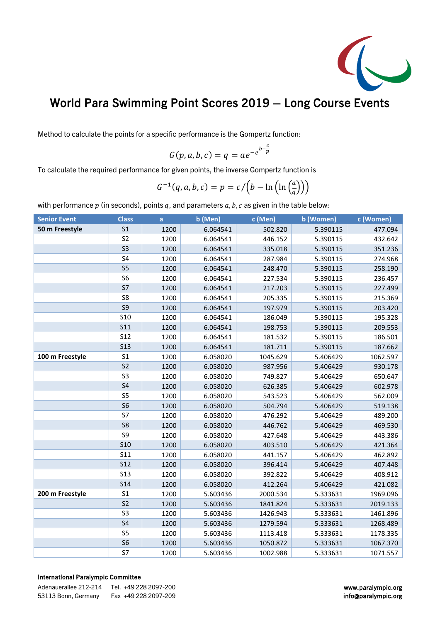

## World Para Swimming Point Scores 2019 – Long Course Events

Method to calculate the points for a specific performance is the Gompertz function:

$$
G(p, a, b, c) = q = ae^{-e^{b-\frac{c}{p}}}
$$

To calculate the required performance for given points, the inverse Gompertz function is

$$
G^{-1}(q, a, b, c) = p = c / (b - \ln(\ln(\frac{a}{q})))
$$

with performance  $p$  (in seconds), points  $q$ , and parameters  $a$ ,  $b$ ,  $c$  as given in the table below:

| <b>Senior Event</b> | <b>Class</b>    | a    | b (Men)  | c (Men)  | b (Women) | c (Women) |
|---------------------|-----------------|------|----------|----------|-----------|-----------|
| 50 m Freestyle      | S <sub>1</sub>  | 1200 | 6.064541 | 502.820  | 5.390115  | 477.094   |
|                     | S <sub>2</sub>  | 1200 | 6.064541 | 446.152  | 5.390115  | 432.642   |
|                     | S <sub>3</sub>  | 1200 | 6.064541 | 335.018  | 5.390115  | 351.236   |
|                     | S <sub>4</sub>  | 1200 | 6.064541 | 287.984  | 5.390115  | 274.968   |
|                     | S <sub>5</sub>  | 1200 | 6.064541 | 248.470  | 5.390115  | 258.190   |
|                     | S <sub>6</sub>  | 1200 | 6.064541 | 227.534  | 5.390115  | 236.457   |
|                     | S7              | 1200 | 6.064541 | 217.203  | 5.390115  | 227.499   |
|                     | S8              | 1200 | 6.064541 | 205.335  | 5.390115  | 215.369   |
|                     | S <sub>9</sub>  | 1200 | 6.064541 | 197.979  | 5.390115  | 203.420   |
|                     | S <sub>10</sub> | 1200 | 6.064541 | 186.049  | 5.390115  | 195.328   |
|                     | <b>S11</b>      | 1200 | 6.064541 | 198.753  | 5.390115  | 209.553   |
|                     | <b>S12</b>      | 1200 | 6.064541 | 181.532  | 5.390115  | 186.501   |
|                     | <b>S13</b>      | 1200 | 6.064541 | 181.711  | 5.390115  | 187.662   |
| 100 m Freestyle     | S <sub>1</sub>  | 1200 | 6.058020 | 1045.629 | 5.406429  | 1062.597  |
|                     | S <sub>2</sub>  | 1200 | 6.058020 | 987.956  | 5.406429  | 930.178   |
|                     | S <sub>3</sub>  | 1200 | 6.058020 | 749.827  | 5.406429  | 650.647   |
|                     | S <sub>4</sub>  | 1200 | 6.058020 | 626.385  | 5.406429  | 602.978   |
|                     | S <sub>5</sub>  | 1200 | 6.058020 | 543.523  | 5.406429  | 562.009   |
|                     | S <sub>6</sub>  | 1200 | 6.058020 | 504.794  | 5.406429  | 519.138   |
|                     | S7              | 1200 | 6.058020 | 476.292  | 5.406429  | 489.200   |
|                     | S <sub>8</sub>  | 1200 | 6.058020 | 446.762  | 5.406429  | 469.530   |
|                     | S9              | 1200 | 6.058020 | 427.648  | 5.406429  | 443.386   |
|                     | <b>S10</b>      | 1200 | 6.058020 | 403.510  | 5.406429  | 421.364   |
|                     | <b>S11</b>      | 1200 | 6.058020 | 441.157  | 5.406429  | 462.892   |
|                     | <b>S12</b>      | 1200 | 6.058020 | 396.414  | 5.406429  | 407.448   |
|                     | <b>S13</b>      | 1200 | 6.058020 | 392.822  | 5.406429  | 408.912   |
|                     | <b>S14</b>      | 1200 | 6.058020 | 412.264  | 5.406429  | 421.082   |
| 200 m Freestyle     | S <sub>1</sub>  | 1200 | 5.603436 | 2000.534 | 5.333631  | 1969.096  |
|                     | S <sub>2</sub>  | 1200 | 5.603436 | 1841.824 | 5.333631  | 2019.133  |
|                     | S <sub>3</sub>  | 1200 | 5.603436 | 1426.943 | 5.333631  | 1461.896  |
|                     | S <sub>4</sub>  | 1200 | 5.603436 | 1279.594 | 5.333631  | 1268.489  |
|                     | S <sub>5</sub>  | 1200 | 5.603436 | 1113.418 | 5.333631  | 1178.335  |
|                     | S <sub>6</sub>  | 1200 | 5.603436 | 1050.872 | 5.333631  | 1067.370  |
|                     | S7              | 1200 | 5.603436 | 1002.988 | 5.333631  | 1071.557  |

## International Paralympic Committee

| Adenauerallee 212-214 | Tel. +49 228 2097-200 |
|-----------------------|-----------------------|
| 53113 Bonn, Germany   | Fax +49 228 2097-209  |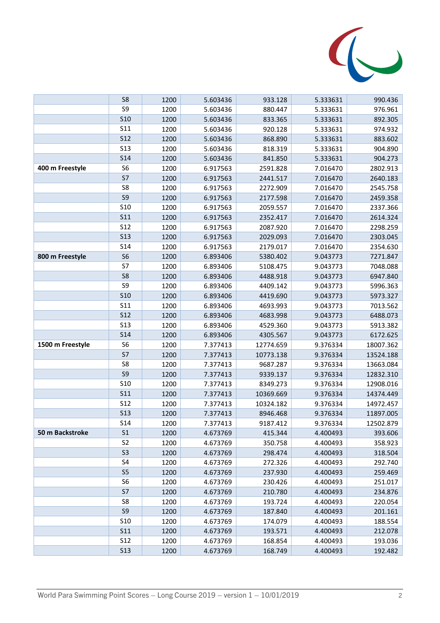

|                  | S8              | 1200 | 5.603436 | 933.128   | 5.333631 | 990.436   |
|------------------|-----------------|------|----------|-----------|----------|-----------|
|                  | S9              | 1200 | 5.603436 | 880.447   | 5.333631 | 976.961   |
|                  | <b>S10</b>      | 1200 | 5.603436 | 833.365   | 5.333631 | 892.305   |
|                  | S11             | 1200 | 5.603436 | 920.128   | 5.333631 | 974.932   |
|                  | <b>S12</b>      | 1200 | 5.603436 | 868.890   | 5.333631 | 883.602   |
|                  | <b>S13</b>      | 1200 | 5.603436 | 818.319   | 5.333631 | 904.890   |
|                  | <b>S14</b>      | 1200 | 5.603436 | 841.850   | 5.333631 | 904.273   |
| 400 m Freestyle  | S <sub>6</sub>  | 1200 | 6.917563 | 2591.828  | 7.016470 | 2802.913  |
|                  | S7              | 1200 | 6.917563 | 2441.517  | 7.016470 | 2640.183  |
|                  | S8              | 1200 | 6.917563 | 2272.909  | 7.016470 | 2545.758  |
|                  | S9              | 1200 | 6.917563 | 2177.598  | 7.016470 | 2459.358  |
|                  | <b>S10</b>      | 1200 | 6.917563 | 2059.557  | 7.016470 | 2337.366  |
|                  | <b>S11</b>      | 1200 | 6.917563 | 2352.417  | 7.016470 | 2614.324  |
|                  | <b>S12</b>      | 1200 | 6.917563 | 2087.920  | 7.016470 | 2298.259  |
|                  | <b>S13</b>      | 1200 | 6.917563 | 2029.093  | 7.016470 | 2303.045  |
|                  | S <sub>14</sub> | 1200 | 6.917563 | 2179.017  | 7.016470 | 2354.630  |
| 800 m Freestyle  | S <sub>6</sub>  | 1200 | 6.893406 | 5380.402  | 9.043773 | 7271.847  |
|                  | S7              | 1200 | 6.893406 | 5108.475  | 9.043773 | 7048.088  |
|                  | S <sub>8</sub>  | 1200 | 6.893406 | 4488.918  | 9.043773 | 6947.840  |
|                  | S9              | 1200 | 6.893406 | 4409.142  | 9.043773 | 5996.363  |
|                  | <b>S10</b>      | 1200 | 6.893406 | 4419.690  | 9.043773 | 5973.327  |
|                  | S <sub>11</sub> | 1200 | 6.893406 | 4693.993  | 9.043773 | 7013.562  |
|                  | <b>S12</b>      | 1200 | 6.893406 | 4683.998  | 9.043773 | 6488.073  |
|                  | <b>S13</b>      | 1200 | 6.893406 | 4529.360  | 9.043773 | 5913.382  |
|                  | <b>S14</b>      | 1200 | 6.893406 | 4305.567  | 9.043773 | 6172.625  |
| 1500 m Freestyle | S <sub>6</sub>  | 1200 | 7.377413 | 12774.659 | 9.376334 | 18007.362 |
|                  | S7              | 1200 | 7.377413 | 10773.138 | 9.376334 | 13524.188 |
|                  | S8              | 1200 | 7.377413 | 9687.287  | 9.376334 | 13663.084 |
|                  | S9              | 1200 | 7.377413 | 9339.137  | 9.376334 | 12832.310 |
|                  | <b>S10</b>      | 1200 | 7.377413 | 8349.273  | 9.376334 | 12908.016 |
|                  | <b>S11</b>      | 1200 | 7.377413 | 10369.669 | 9.376334 | 14374.449 |
|                  | <b>S12</b>      | 1200 | 7.377413 | 10324.182 | 9.376334 | 14972.457 |
|                  | <b>S13</b>      | 1200 | 7.377413 | 8946.468  | 9.376334 | 11897.005 |
|                  | S <sub>14</sub> | 1200 | 7.377413 | 9187.412  | 9.376334 | 12502.879 |
| 50 m Backstroke  | S <sub>1</sub>  | 1200 | 4.673769 | 415.344   | 4.400493 | 393.606   |
|                  | S <sub>2</sub>  | 1200 | 4.673769 | 350.758   | 4.400493 | 358.923   |
|                  | S <sub>3</sub>  | 1200 | 4.673769 | 298.474   | 4.400493 | 318.504   |
|                  | S4              | 1200 | 4.673769 | 272.326   | 4.400493 | 292.740   |
|                  | S <sub>5</sub>  | 1200 | 4.673769 | 237.930   | 4.400493 | 259.469   |
|                  | S <sub>6</sub>  | 1200 | 4.673769 | 230.426   | 4.400493 | 251.017   |
|                  | S7              | 1200 | 4.673769 | 210.780   | 4.400493 | 234.876   |
|                  | S8              | 1200 | 4.673769 | 193.724   | 4.400493 | 220.054   |
|                  | S9              | 1200 | 4.673769 | 187.840   | 4.400493 | 201.161   |
|                  | <b>S10</b>      | 1200 | 4.673769 | 174.079   | 4.400493 | 188.554   |
|                  | <b>S11</b>      | 1200 | 4.673769 | 193.571   | 4.400493 | 212.078   |
|                  | <b>S12</b>      | 1200 | 4.673769 | 168.854   | 4.400493 | 193.036   |
|                  | <b>S13</b>      | 1200 | 4.673769 | 168.749   | 4.400493 | 192.482   |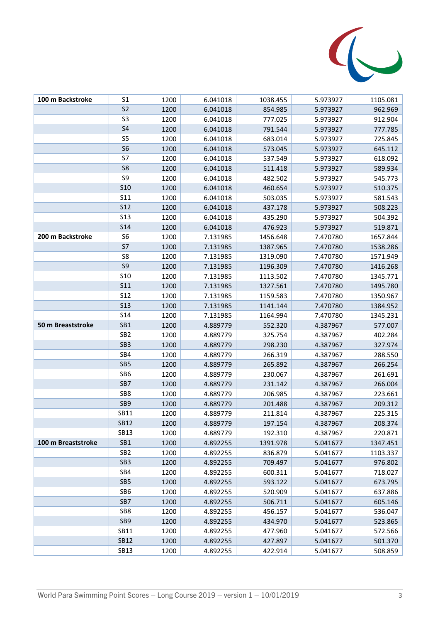

| 100 m Backstroke   | S <sub>1</sub>   | 1200 | 6.041018 | 1038.455 | 5.973927 | 1105.081 |
|--------------------|------------------|------|----------|----------|----------|----------|
|                    | S <sub>2</sub>   | 1200 | 6.041018 | 854.985  | 5.973927 | 962.969  |
|                    | S <sub>3</sub>   | 1200 | 6.041018 | 777.025  | 5.973927 | 912.904  |
|                    | S <sub>4</sub>   | 1200 | 6.041018 | 791.544  | 5.973927 | 777.785  |
|                    | S <sub>5</sub>   | 1200 | 6.041018 | 683.014  | 5.973927 | 725.845  |
|                    | S <sub>6</sub>   | 1200 | 6.041018 | 573.045  | 5.973927 | 645.112  |
|                    | S7               | 1200 | 6.041018 | 537.549  | 5.973927 | 618.092  |
|                    | S8               | 1200 | 6.041018 | 511.418  | 5.973927 | 589.934  |
|                    | S9               | 1200 | 6.041018 | 482.502  | 5.973927 | 545.773  |
|                    | <b>S10</b>       | 1200 | 6.041018 | 460.654  | 5.973927 | 510.375  |
|                    | S <sub>11</sub>  | 1200 | 6.041018 | 503.035  | 5.973927 | 581.543  |
|                    | <b>S12</b>       | 1200 | 6.041018 | 437.178  | 5.973927 | 508.223  |
|                    | S <sub>1</sub> 3 | 1200 | 6.041018 | 435.290  | 5.973927 | 504.392  |
|                    | S <sub>14</sub>  | 1200 | 6.041018 | 476.923  | 5.973927 | 519.871  |
| 200 m Backstroke   | S <sub>6</sub>   | 1200 | 7.131985 | 1456.648 | 7.470780 | 1657.844 |
|                    | S7               | 1200 | 7.131985 | 1387.965 | 7.470780 | 1538.286 |
|                    | S8               | 1200 | 7.131985 | 1319.090 | 7.470780 | 1571.949 |
|                    | S9               | 1200 | 7.131985 | 1196.309 | 7.470780 | 1416.268 |
|                    | <b>S10</b>       | 1200 | 7.131985 | 1113.502 | 7.470780 | 1345.771 |
|                    | S <sub>11</sub>  | 1200 | 7.131985 | 1327.561 | 7.470780 | 1495.780 |
|                    | S <sub>12</sub>  | 1200 | 7.131985 | 1159.583 | 7.470780 | 1350.967 |
|                    | <b>S13</b>       | 1200 | 7.131985 | 1141.144 | 7.470780 | 1384.952 |
|                    | S <sub>14</sub>  | 1200 | 7.131985 | 1164.994 | 7.470780 | 1345.231 |
| 50 m Breaststroke  | SB1              | 1200 | 4.889779 | 552.320  | 4.387967 | 577.007  |
|                    | SB <sub>2</sub>  | 1200 | 4.889779 | 325.754  | 4.387967 | 402.284  |
|                    | SB <sub>3</sub>  | 1200 | 4.889779 | 298.230  | 4.387967 | 327.974  |
|                    | SB4              | 1200 | 4.889779 | 266.319  | 4.387967 | 288.550  |
|                    | SB5              | 1200 | 4.889779 | 265.892  | 4.387967 | 266.254  |
|                    | SB6              | 1200 | 4.889779 | 230.067  | 4.387967 | 261.691  |
|                    | SB7              | 1200 | 4.889779 | 231.142  | 4.387967 | 266.004  |
|                    | SB <sub>8</sub>  | 1200 | 4.889779 | 206.985  | 4.387967 | 223.661  |
|                    | SB9              | 1200 | 4.889779 | 201.488  | 4.387967 | 209.312  |
|                    | SB11             | 1200 | 4.889779 | 211.814  | 4.387967 | 225.315  |
|                    | <b>SB12</b>      | 1200 | 4.889779 | 197.154  | 4.387967 | 208.374  |
|                    | <b>SB13</b>      | 1200 | 4.889779 | 192.310  | 4.387967 | 220.871  |
| 100 m Breaststroke | SB1              | 1200 | 4.892255 | 1391.978 | 5.041677 | 1347.451 |
|                    | SB <sub>2</sub>  | 1200 | 4.892255 | 836.879  | 5.041677 | 1103.337 |
|                    | SB <sub>3</sub>  | 1200 | 4.892255 | 709.497  | 5.041677 | 976.802  |
|                    | SB4              | 1200 | 4.892255 | 600.311  | 5.041677 | 718.027  |
|                    | SB <sub>5</sub>  | 1200 | 4.892255 | 593.122  | 5.041677 | 673.795  |
|                    | SB6              | 1200 | 4.892255 | 520.909  | 5.041677 | 637.886  |
|                    | SB7              | 1200 | 4.892255 | 506.711  | 5.041677 | 605.146  |
|                    | SB8              | 1200 | 4.892255 | 456.157  | 5.041677 | 536.047  |
|                    | SB <sub>9</sub>  | 1200 | 4.892255 | 434.970  | 5.041677 | 523.865  |
|                    | SB11             | 1200 | 4.892255 | 477.960  | 5.041677 | 572.566  |
|                    | <b>SB12</b>      | 1200 | 4.892255 | 427.897  | 5.041677 | 501.370  |
|                    | <b>SB13</b>      | 1200 | 4.892255 | 422.914  | 5.041677 | 508.859  |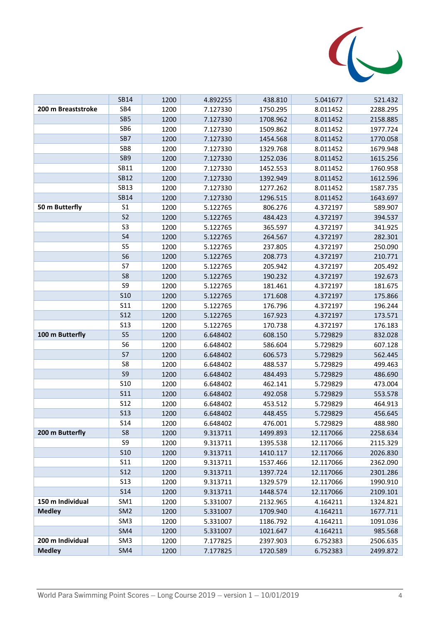

|                    | <b>SB14</b>     | 1200         | 4.892255             | 438.810              | 5.041677               | 521.432              |
|--------------------|-----------------|--------------|----------------------|----------------------|------------------------|----------------------|
| 200 m Breaststroke | SB4             | 1200         | 7.127330             | 1750.295             | 8.011452               | 2288.295             |
|                    | SB <sub>5</sub> | 1200         | 7.127330             | 1708.962             | 8.011452               | 2158.885             |
|                    | SB <sub>6</sub> | 1200         | 7.127330             | 1509.862             | 8.011452               | 1977.724             |
|                    | SB7             | 1200         | 7.127330             | 1454.568             | 8.011452               | 1770.058             |
|                    | SB8             | 1200         | 7.127330             | 1329.768             | 8.011452               | 1679.948             |
|                    | SB <sub>9</sub> | 1200         | 7.127330             | 1252.036             | 8.011452               | 1615.256             |
|                    | SB11            | 1200         | 7.127330             | 1452.553             | 8.011452               | 1760.958             |
|                    | <b>SB12</b>     | 1200         | 7.127330             | 1392.949             | 8.011452               | 1612.596             |
|                    | <b>SB13</b>     | 1200         | 7.127330             | 1277.262             | 8.011452               | 1587.735             |
|                    | <b>SB14</b>     | 1200         | 7.127330             | 1296.515             | 8.011452               | 1643.697             |
| 50 m Butterfly     | S <sub>1</sub>  | 1200         | 5.122765             | 806.276              | 4.372197               | 589.907              |
|                    | S <sub>2</sub>  | 1200         | 5.122765             | 484.423              | 4.372197               | 394.537              |
|                    | S3              | 1200         | 5.122765             | 365.597              | 4.372197               | 341.925              |
|                    | S <sub>4</sub>  | 1200         | 5.122765             | 264.567              | 4.372197               | 282.301              |
|                    | S <sub>5</sub>  | 1200         | 5.122765             | 237.805              | 4.372197               | 250.090              |
|                    | S <sub>6</sub>  | 1200         | 5.122765             | 208.773              | 4.372197               | 210.771              |
|                    | S7              | 1200         | 5.122765             | 205.942              | 4.372197               | 205.492              |
|                    | S <sub>8</sub>  | 1200         | 5.122765             | 190.232              | 4.372197               | 192.673              |
|                    | S9              | 1200         | 5.122765             | 181.461              | 4.372197               | 181.675              |
|                    | <b>S10</b>      | 1200         | 5.122765             | 171.608              | 4.372197               | 175.866              |
|                    | S <sub>11</sub> | 1200         | 5.122765             | 176.796              | 4.372197               | 196.244              |
|                    | <b>S12</b>      | 1200         | 5.122765             | 167.923              | 4.372197               | 173.571              |
|                    | <b>S13</b>      | 1200         | 5.122765             | 170.738              | 4.372197               | 176.183              |
| 100 m Butterfly    | S <sub>5</sub>  | 1200         | 6.648402             | 608.150              | 5.729829               | 832.028              |
|                    | S6              | 1200         | 6.648402             | 586.604              | 5.729829               | 607.128              |
|                    | S7              | 1200         | 6.648402             | 606.573              | 5.729829               | 562.445              |
|                    | S8              | 1200         | 6.648402             | 488.537              | 5.729829               | 499.463              |
|                    | S9              | 1200         | 6.648402             | 484.493              | 5.729829               | 486.690              |
|                    | <b>S10</b>      | 1200         | 6.648402             | 462.141              | 5.729829               | 473.004              |
|                    | <b>S11</b>      | 1200         | 6.648402             | 492.058              | 5.729829               | 553.578              |
|                    | <b>S12</b>      | 1200         | 6.648402             | 453.512              | 5.729829               | 464.913              |
|                    | <b>S13</b>      | 1200         | 6.648402             | 448.455              | 5.729829               | 456.645              |
|                    | <b>S14</b>      | 1200         | 6.648402             | 476.001              | 5.729829               | 488.980              |
| 200 m Butterfly    | S8<br>S9        | 1200         | 9.313711             | 1499.893             | 12.117066              | 2258.634             |
|                    | <b>S10</b>      | 1200         | 9.313711             | 1395.538             | 12.117066              | 2115.329             |
|                    | <b>S11</b>      | 1200<br>1200 | 9.313711<br>9.313711 | 1410.117<br>1537.466 | 12.117066<br>12.117066 | 2026.830<br>2362.090 |
|                    | <b>S12</b>      | 1200         | 9.313711             | 1397.724             | 12.117066              | 2301.286             |
|                    | <b>S13</b>      | 1200         | 9.313711             | 1329.579             | 12.117066              | 1990.910             |
|                    | <b>S14</b>      | 1200         | 9.313711             | 1448.574             | 12.117066              | 2109.101             |
| 150 m Individual   | SM1             | 1200         | 5.331007             | 2132.965             | 4.164211               | 1324.821             |
| <b>Medley</b>      | SM <sub>2</sub> | 1200         | 5.331007             | 1709.940             | 4.164211               | 1677.711             |
|                    | SM <sub>3</sub> | 1200         | 5.331007             | 1186.792             | 4.164211               | 1091.036             |
|                    | SM4             | 1200         | 5.331007             | 1021.647             | 4.164211               | 985.568              |
| 200 m Individual   | SM <sub>3</sub> | 1200         | 7.177825             | 2397.903             | 6.752383               | 2506.635             |
| <b>Medley</b>      | SM4             | 1200         | 7.177825             | 1720.589             | 6.752383               | 2499.872             |
|                    |                 |              |                      |                      |                        |                      |